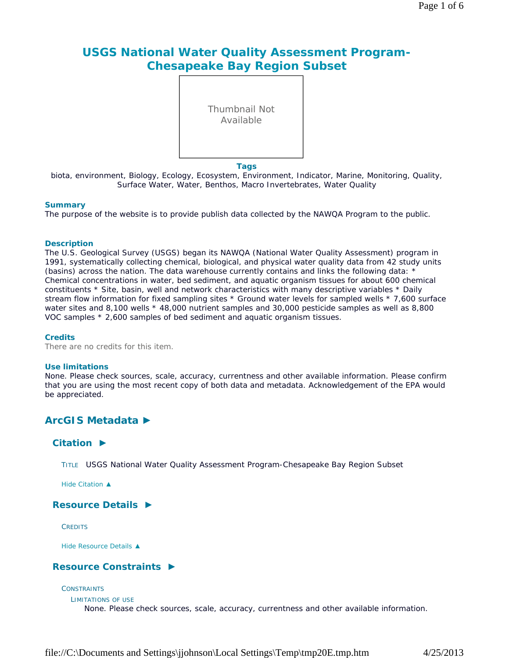# **USGS National Water Quality Assessment Program-Chesapeake Bay Region Subset**

Thumbnail Not Available

#### **Tags**

biota, environment, Biology, Ecology, Ecosystem, Environment, Indicator, Marine, Monitoring, Quality, Surface Water, Water, Benthos, Macro Invertebrates, Water Quality

#### **Summary**

The purpose of the website is to provide publish data collected by the NAWQA Program to the public.

#### **Description**

The U.S. Geological Survey (USGS) began its NAWQA (National Water Quality Assessment) program in 1991, systematically collecting chemical, biological, and physical water quality data from 42 study units (basins) across the nation. The data warehouse currently contains and links the following data: \* Chemical concentrations in water, bed sediment, and aquatic organism tissues for about 600 chemical constituents \* Site, basin, well and network characteristics with many descriptive variables \* Daily stream flow information for fixed sampling sites \* Ground water levels for sampled wells \* 7,600 surface water sites and 8,100 wells  $*$  48,000 nutrient samples and 30,000 pesticide samples as well as 8,800 VOC samples \* 2,600 samples of bed sediment and aquatic organism tissues.

#### **Credits**

There are no credits for this item.

#### **Use limitations**

None. Please check sources, scale, accuracy, currentness and other available information. Please confirm that you are using the most recent copy of both data and metadata. Acknowledgement of the EPA would be appreciated.

# **ArcGIS Metadata ►**

### **Citation ►**

TITLE USGS National Water Quality Assessment Program-Chesapeake Bay Region Subset

*Hide Citation ▲*

### **Resource Details ►**

**CREDITS** 

*Hide Resource Details ▲*

### **Resource Constraints ►**

#### **CONSTRAINTS**

LIMITATIONS OF USE

None. Please check sources, scale, accuracy, currentness and other available information.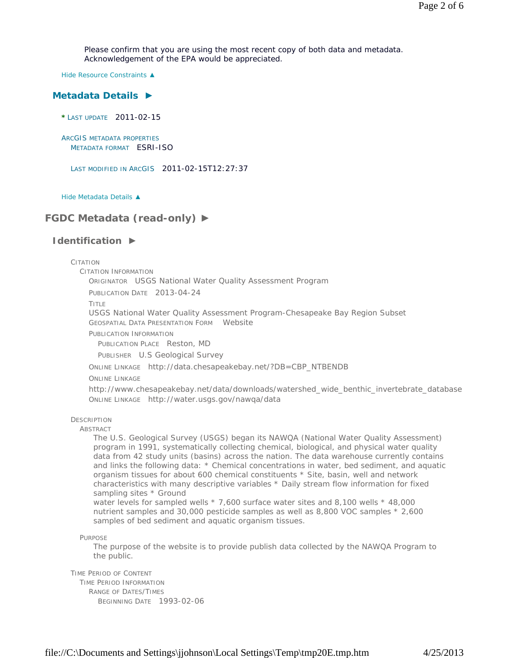Please confirm that you are using the most recent copy of both data and metadata. Acknowledgement of the EPA would be appreciated.

*Hide Resource Constraints ▲*

#### **Metadata Details ►**

**\*** LAST UPDATE 2011-02-15

ARCGIS METADATA PROPERTIES METADATA FORMAT ESRI-ISO

LAST MODIFIED IN ARCGIS 2011-02-15T12:27:37

*Hide Metadata Details ▲*

## **FGDC Metadata (read-only) ►**

#### **Identification ►**

CITATION

CITATION INFORMATION

ORIGINATOR USGS National Water Quality Assessment Program

PUBLICATION DATE 2013-04-24

TITLE

USGS National Water Quality Assessment Program-Chesapeake Bay Region Subset GEOSPATIAL DATA PRESENTATION FORM Website

PUBLICATION INFORMATION

PUBLICATION PLACE Reston, MD

PUBLISHER U.S Geological Survey

ONLINE LINKAGE http://data.chesapeakebay.net/?DB=CBP\_NTBENDB

ONLINE LINKAGE

http://www.chesapeakebay.net/data/downloads/watershed\_wide\_benthic\_invertebrate\_database ONLINE LINKAGE http://water.usgs.gov/nawqa/data

**DESCRIPTION** 

**ABSTRACT** 

The U.S. Geological Survey (USGS) began its NAWQA (National Water Quality Assessment) program in 1991, systematically collecting chemical, biological, and physical water quality data from 42 study units (basins) across the nation. The data warehouse currently contains and links the following data: \* Chemical concentrations in water, bed sediment, and aquatic organism tissues for about 600 chemical constituents \* Site, basin, well and network characteristics with many descriptive variables \* Daily stream flow information for fixed sampling sites \* Ground

water levels for sampled wells \* 7,600 surface water sites and 8,100 wells \* 48,000 nutrient samples and 30,000 pesticide samples as well as 8,800 VOC samples \* 2,600 samples of bed sediment and aquatic organism tissues.

PURPOSE

The purpose of the website is to provide publish data collected by the NAWQA Program to the public.

TIME PERIOD OF CONTENT TIME PERIOD INFORMATION RANGE OF DATES/TIMES BEGINNING DATE 1993-02-06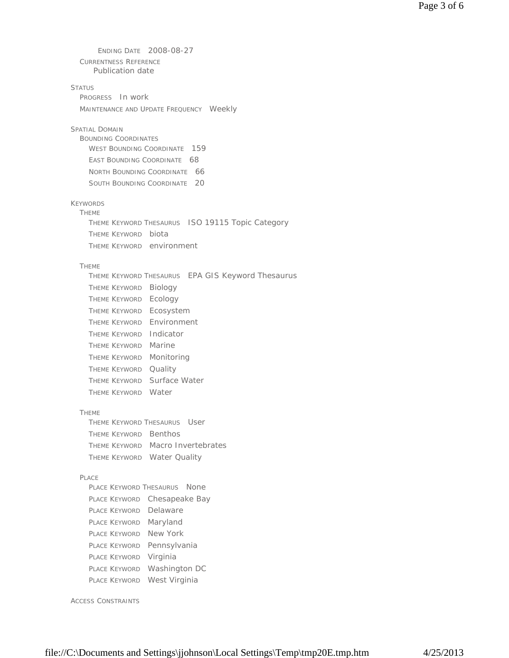| 2008-08-27<br>ENDING DATE                         |
|---------------------------------------------------|
| <b>CURRENTNESS REFERENCE</b>                      |
| Publication date                                  |
| <b>STATUS</b>                                     |
| PROGRESS In work                                  |
| MAINTENANCE AND UPDATE FREQUENCY Weekly           |
|                                                   |
| <b>SPATIAL DOMAIN</b>                             |
| <b>BOUNDING COORDINATES</b>                       |
| WEST BOUNDING COORDINATE<br>- 159                 |
| <b>EAST BOUNDING COORDINATE</b><br>- 68           |
| - 66<br>NORTH BOUNDING COORDINATE                 |
| 20<br><b>SOUTH BOUNDING COORDINATE</b>            |
|                                                   |
| <b>KEYWORDS</b>                                   |
| <b>THEME</b>                                      |
| THEME KEYWORD THESAURUS ISO 19115 Topic Category  |
| THEME KEYWORD biota                               |
| THEME KEYWORD environment                         |
| <b>THEME</b>                                      |
| THEME KEYWORD THESAURUS EPA GIS Keyword Thesaurus |
| Biology<br>Theme Keyword                          |
| Ecology<br><b>THEME KEYWORD</b>                   |
|                                                   |
| THEME KEYWORD Ecosystem                           |
| Environment<br><b>THEME KEYWORD</b>               |
| Indicator<br>THEME KEYWORD                        |
| Marine<br>THEME KEYWORD                           |
| Monitoring<br>THEME KEYWORD                       |
| Quality<br><b>THEME KEYWORD</b>                   |
| Surface Water<br>Theme Keyword                    |
| THEME KEYWORD Water                               |
|                                                   |
| <b>THEME</b>                                      |
| User<br>Theme Keyword Thesaurus                   |
| THEME KEYWORD Benthos                             |
| THEME KEYWORD Macro Invertebrates                 |
| THEME KEYWORD Water Quality                       |
| PLACE                                             |
| PLACE KEYWORD THESAURUS<br>None                   |
| Place Keyword<br>Chesapeake Bay                   |
| Delaware<br>Place Keyword                         |
|                                                   |
| Maryland<br>PLACE KEYWORD                         |
| New York<br>PLACE KEYWORD                         |
| PLACE KEYWORD Pennsylvania                        |
| Virginia<br>Place Keyword                         |
| Washington DC<br>Place Keyword                    |
| West Virginia<br>PLACE KEYWORD                    |
|                                                   |

ACCESS CONSTRAINTS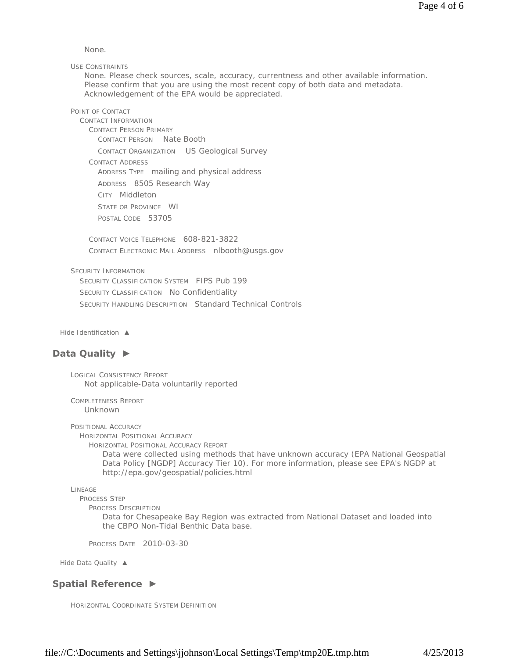None.

USE CONSTRAINTS

None. Please check sources, scale, accuracy, currentness and other available information. Please confirm that you are using the most recent copy of both data and metadata. Acknowledgement of the EPA would be appreciated.

POINT OF CONTACT

CONTACT INFORMATION CONTACT PERSON PRIMARY CONTACT PERSON Nate Booth CONTACT ORGANIZATION US Geological Survey CONTACT ADDRESS ADDRESS TYPE mailing and physical address ADDRESS 8505 Research Way CITY Middleton STATE OR PROVINCE WI POSTAL CODE 53705

CONTACT VOICE TELEPHONE 608-821-3822 CONTACT ELECTRONIC MAIL ADDRESS nlbooth@usgs.gov

SECURITY INFORMATION

SECURITY CLASSIFICATION SYSTEM FIPS Pub 199 SECURITY CLASSIFICATION No Confidentiality SECURITY HANDLING DESCRIPTION Standard Technical Controls

*Hide Identification ▲*

### **Data Quality ►**

LOGICAL CONSISTENCY REPORT Not applicable-Data voluntarily reported

COMPLETENESS REPORT Unknown

POSITIONAL ACCURACY

HORIZONTAL POSITIONAL ACCURACY

HORIZONTAL POSITIONAL ACCURACY REPORT

Data were collected using methods that have unknown accuracy (EPA National Geospatial Data Policy [NGDP] Accuracy Tier 10). For more information, please see EPA's NGDP at http://epa.gov/geospatial/policies.html

LINEAGE

PROCESS STEP

PROCESS DESCRIPTION

Data for Chesapeake Bay Region was extracted from National Dataset and loaded into the CBPO Non-Tidal Benthic Data base.

PROCESS DATE 2010-03-30

*Hide Data Quality ▲*

### **Spatial Reference ►**

HORIZONTAL COORDINATE SYSTEM DEFINITION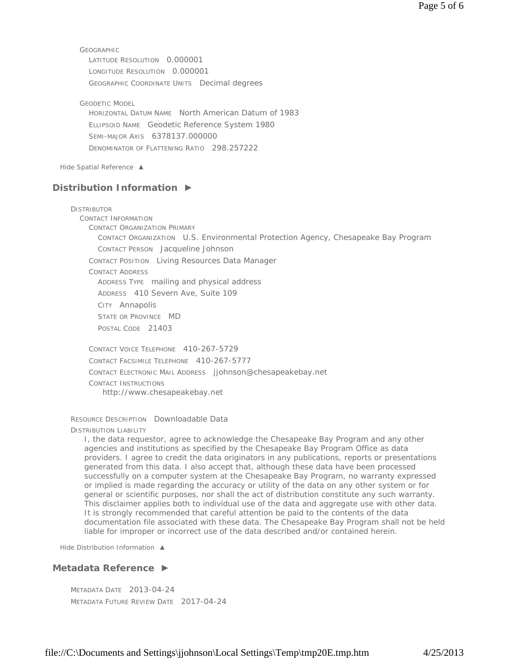**GEOGRAPHIC** LATITUDE RESOLUTION 0.000001 LONGITUDE RESOLUTION 0.000001 GEOGRAPHIC COORDINATE UNITS Decimal degrees

GEODETIC MODEL HORIZONTAL DATUM NAME North American Datum of 1983 ELLIPSOID NAME Geodetic Reference System 1980 SEMI-MAJOR AXIS 6378137.000000 DENOMINATOR OF FLATTENING RATIO 298.257222

*Hide Spatial Reference ▲*

### **Distribution Information ►**

**DISTRIBUTOR** CONTACT INFORMATION CONTACT ORGANIZATION PRIMARY CONTACT ORGANIZATION U.S. Environmental Protection Agency, Chesapeake Bay Program CONTACT PERSON Jacqueline Johnson CONTACT POSITION Living Resources Data Manager CONTACT ADDRESS ADDRESS TYPE mailing and physical address ADDRESS 410 Severn Ave, Suite 109 CITY Annapolis STATE OR PROVINCE MD POSTAL CODE 21403 CONTACT VOICE TELEPHONE 410-267-5729

CONTACT FACSIMILE TELEPHONE 410-267-5777 CONTACT ELECTRONIC MAIL ADDRESS jjohnson@chesapeakebay.net CONTACT INSTRUCTIONS http://www.chesapeakebay.net

RESOURCE DESCRIPTION Downloadable Data DISTRIBUTION LIABILITY

I, the data requestor, agree to acknowledge the Chesapeake Bay Program and any other agencies and institutions as specified by the Chesapeake Bay Program Office as data providers. I agree to credit the data originators in any publications, reports or presentations generated from this data. I also accept that, although these data have been processed successfully on a computer system at the Chesapeake Bay Program, no warranty expressed or implied is made regarding the accuracy or utility of the data on any other system or for general or scientific purposes, nor shall the act of distribution constitute any such warranty. This disclaimer applies both to individual use of the data and aggregate use with other data. It is strongly recommended that careful attention be paid to the contents of the data documentation file associated with these data. The Chesapeake Bay Program shall not be held liable for improper or incorrect use of the data described and/or contained herein.

*Hide Distribution Information ▲*

### **Metadata Reference ►**

METADATA DATE 2013-04-24 METADATA FUTURE REVIEW DATE 2017-04-24